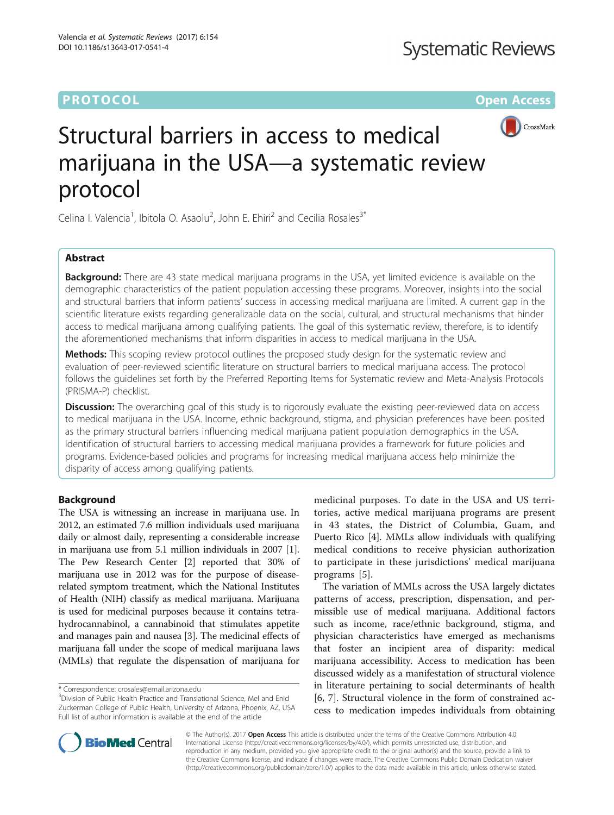## **PROTOCOL CONSUMING THE CONSUMING TEACHER CONSUMING THE CONSUMING TEACHER CONSUMING THE CONSUMING TEACHER CONSUMING**



# Structural barriers in access to medical marijuana in the USA—a systematic review protocol

Celina I. Valencia<sup>1</sup>, Ibitola O. Asaolu<sup>2</sup>, John E. Ehiri<sup>2</sup> and Cecilia Rosales<sup>3\*</sup>

## Abstract

**Background:** There are 43 state medical marijuana programs in the USA, yet limited evidence is available on the demographic characteristics of the patient population accessing these programs. Moreover, insights into the social and structural barriers that inform patients' success in accessing medical marijuana are limited. A current gap in the scientific literature exists regarding generalizable data on the social, cultural, and structural mechanisms that hinder access to medical marijuana among qualifying patients. The goal of this systematic review, therefore, is to identify the aforementioned mechanisms that inform disparities in access to medical marijuana in the USA.

Methods: This scoping review protocol outlines the proposed study design for the systematic review and evaluation of peer-reviewed scientific literature on structural barriers to medical marijuana access. The protocol follows the guidelines set forth by the Preferred Reporting Items for Systematic review and Meta-Analysis Protocols (PRISMA-P) checklist.

**Discussion:** The overarching goal of this study is to rigorously evaluate the existing peer-reviewed data on access to medical marijuana in the USA. Income, ethnic background, stigma, and physician preferences have been posited as the primary structural barriers influencing medical marijuana patient population demographics in the USA. Identification of structural barriers to accessing medical marijuana provides a framework for future policies and programs. Evidence-based policies and programs for increasing medical marijuana access help minimize the disparity of access among qualifying patients.

## Background

The USA is witnessing an increase in marijuana use. In 2012, an estimated 7.6 million individuals used marijuana daily or almost daily, representing a considerable increase in marijuana use from 5.1 million individuals in 2007 [[1](#page-7-0)]. The Pew Research Center [[2\]](#page-7-0) reported that 30% of marijuana use in 2012 was for the purpose of diseaserelated symptom treatment, which the National Institutes of Health (NIH) classify as medical marijuana. Marijuana is used for medicinal purposes because it contains tetrahydrocannabinol, a cannabinoid that stimulates appetite and manages pain and nausea [[3\]](#page-7-0). The medicinal effects of marijuana fall under the scope of medical marijuana laws (MMLs) that regulate the dispensation of marijuana for

medicinal purposes. To date in the USA and US territories, active medical marijuana programs are present in 43 states, the District of Columbia, Guam, and Puerto Rico [\[4](#page-7-0)]. MMLs allow individuals with qualifying medical conditions to receive physician authorization to participate in these jurisdictions' medical marijuana programs [\[5](#page-7-0)].

The variation of MMLs across the USA largely dictates patterns of access, prescription, dispensation, and permissible use of medical marijuana. Additional factors such as income, race/ethnic background, stigma, and physician characteristics have emerged as mechanisms that foster an incipient area of disparity: medical marijuana accessibility. Access to medication has been discussed widely as a manifestation of structural violence in literature pertaining to social determinants of health [[6, 7](#page-7-0)]. Structural violence in the form of constrained access to medication impedes individuals from obtaining



© The Author(s). 2017 **Open Access** This article is distributed under the terms of the Creative Commons Attribution 4.0 International License [\(http://creativecommons.org/licenses/by/4.0/](http://creativecommons.org/licenses/by/4.0/)), which permits unrestricted use, distribution, and reproduction in any medium, provided you give appropriate credit to the original author(s) and the source, provide a link to the Creative Commons license, and indicate if changes were made. The Creative Commons Public Domain Dedication waiver [\(http://creativecommons.org/publicdomain/zero/1.0/](http://creativecommons.org/publicdomain/zero/1.0/)) applies to the data made available in this article, unless otherwise stated.

<sup>\*</sup> Correspondence: [crosales@email.arizona.edu](mailto:crosales@email.arizona.edu) <sup>3</sup>

Division of Public Health Practice and Translational Science, Mel and Enid Zuckerman College of Public Health, University of Arizona, Phoenix, AZ, USA Full list of author information is available at the end of the article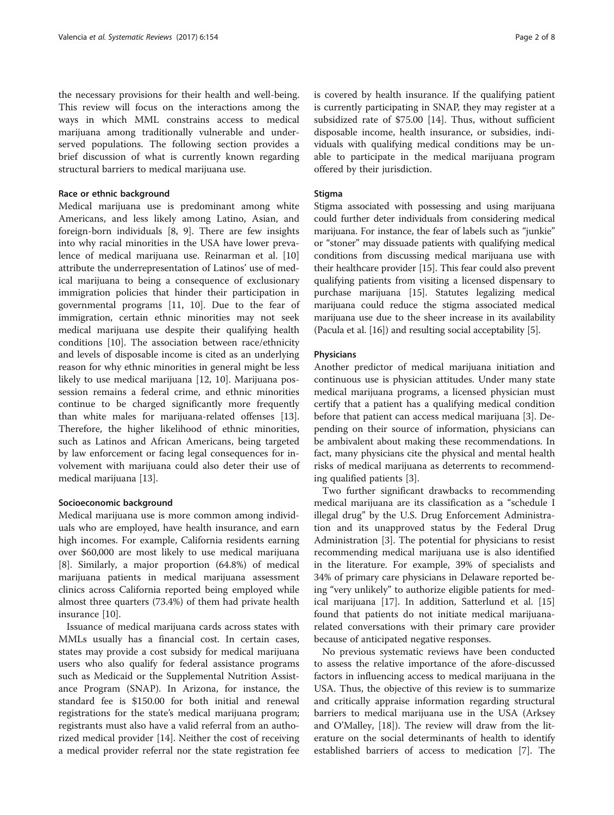the necessary provisions for their health and well-being. This review will focus on the interactions among the ways in which MML constrains access to medical marijuana among traditionally vulnerable and underserved populations. The following section provides a brief discussion of what is currently known regarding structural barriers to medical marijuana use.

## Race or ethnic background

Medical marijuana use is predominant among white Americans, and less likely among Latino, Asian, and foreign-born individuals [[8, 9\]](#page-7-0). There are few insights into why racial minorities in the USA have lower prevalence of medical marijuana use. Reinarman et al. [[10](#page-7-0)] attribute the underrepresentation of Latinos' use of medical marijuana to being a consequence of exclusionary immigration policies that hinder their participation in governmental programs [\[11](#page-7-0), [10](#page-7-0)]. Due to the fear of immigration, certain ethnic minorities may not seek medical marijuana use despite their qualifying health conditions [\[10\]](#page-7-0). The association between race/ethnicity and levels of disposable income is cited as an underlying reason for why ethnic minorities in general might be less likely to use medical marijuana [\[12](#page-7-0), [10\]](#page-7-0). Marijuana possession remains a federal crime, and ethnic minorities continue to be charged significantly more frequently than white males for marijuana-related offenses [\[13](#page-7-0)]. Therefore, the higher likelihood of ethnic minorities, such as Latinos and African Americans, being targeted by law enforcement or facing legal consequences for involvement with marijuana could also deter their use of medical marijuana [\[13](#page-7-0)].

#### Socioeconomic background

Medical marijuana use is more common among individuals who are employed, have health insurance, and earn high incomes. For example, California residents earning over \$60,000 are most likely to use medical marijuana [[8\]](#page-7-0). Similarly, a major proportion (64.8%) of medical marijuana patients in medical marijuana assessment clinics across California reported being employed while almost three quarters (73.4%) of them had private health insurance [\[10\]](#page-7-0).

Issuance of medical marijuana cards across states with MMLs usually has a financial cost. In certain cases, states may provide a cost subsidy for medical marijuana users who also qualify for federal assistance programs such as Medicaid or the Supplemental Nutrition Assistance Program (SNAP). In Arizona, for instance, the standard fee is \$150.00 for both initial and renewal registrations for the state's medical marijuana program; registrants must also have a valid referral from an authorized medical provider [\[14\]](#page-7-0). Neither the cost of receiving a medical provider referral nor the state registration fee is covered by health insurance. If the qualifying patient is currently participating in SNAP, they may register at a subsidized rate of \$75.00 [\[14\]](#page-7-0). Thus, without sufficient disposable income, health insurance, or subsidies, individuals with qualifying medical conditions may be unable to participate in the medical marijuana program offered by their jurisdiction.

## Stigma

Stigma associated with possessing and using marijuana could further deter individuals from considering medical marijuana. For instance, the fear of labels such as "junkie" or "stoner" may dissuade patients with qualifying medical conditions from discussing medical marijuana use with their healthcare provider [\[15](#page-7-0)]. This fear could also prevent qualifying patients from visiting a licensed dispensary to purchase marijuana [[15](#page-7-0)]. Statutes legalizing medical marijuana could reduce the stigma associated medical marijuana use due to the sheer increase in its availability (Pacula et al. [\[16\]](#page-7-0)) and resulting social acceptability [[5](#page-7-0)].

## Physicians

Another predictor of medical marijuana initiation and continuous use is physician attitudes. Under many state medical marijuana programs, a licensed physician must certify that a patient has a qualifying medical condition before that patient can access medical marijuana [\[3](#page-7-0)]. Depending on their source of information, physicians can be ambivalent about making these recommendations. In fact, many physicians cite the physical and mental health risks of medical marijuana as deterrents to recommending qualified patients [[3\]](#page-7-0).

Two further significant drawbacks to recommending medical marijuana are its classification as a "schedule I illegal drug" by the U.S. Drug Enforcement Administration and its unapproved status by the Federal Drug Administration [\[3](#page-7-0)]. The potential for physicians to resist recommending medical marijuana use is also identified in the literature. For example, 39% of specialists and 34% of primary care physicians in Delaware reported being "very unlikely" to authorize eligible patients for medical marijuana [[17\]](#page-7-0). In addition, Satterlund et al. [[15](#page-7-0)] found that patients do not initiate medical marijuanarelated conversations with their primary care provider because of anticipated negative responses.

No previous systematic reviews have been conducted to assess the relative importance of the afore-discussed factors in influencing access to medical marijuana in the USA. Thus, the objective of this review is to summarize and critically appraise information regarding structural barriers to medical marijuana use in the USA (Arksey and O'Malley, [\[18](#page-7-0)]). The review will draw from the literature on the social determinants of health to identify established barriers of access to medication [\[7](#page-7-0)]. The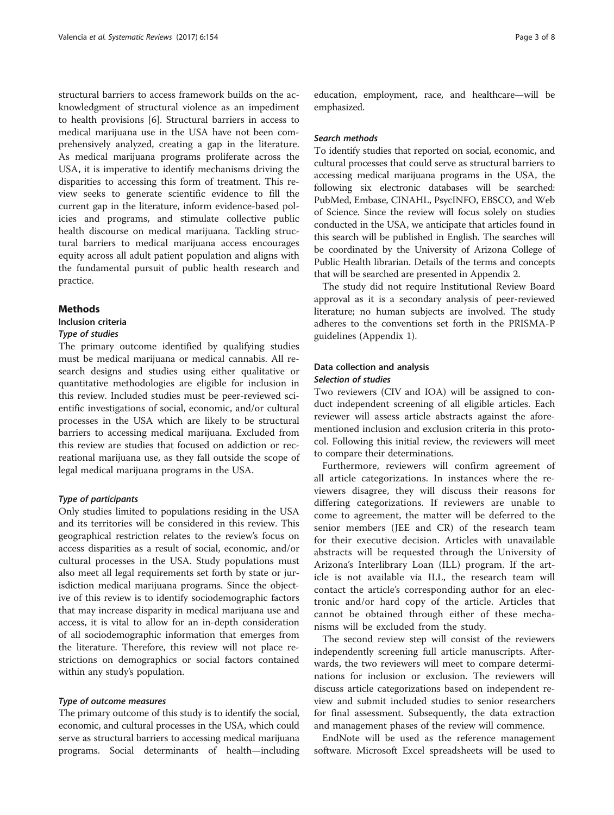structural barriers to access framework builds on the acknowledgment of structural violence as an impediment to health provisions [[6\]](#page-7-0). Structural barriers in access to medical marijuana use in the USA have not been comprehensively analyzed, creating a gap in the literature. As medical marijuana programs proliferate across the USA, it is imperative to identify mechanisms driving the disparities to accessing this form of treatment. This review seeks to generate scientific evidence to fill the current gap in the literature, inform evidence-based policies and programs, and stimulate collective public health discourse on medical marijuana. Tackling structural barriers to medical marijuana access encourages equity across all adult patient population and aligns with the fundamental pursuit of public health research and practice.

## Methods

## Inclusion criteria

## Type of studies

The primary outcome identified by qualifying studies must be medical marijuana or medical cannabis. All research designs and studies using either qualitative or quantitative methodologies are eligible for inclusion in this review. Included studies must be peer-reviewed scientific investigations of social, economic, and/or cultural processes in the USA which are likely to be structural barriers to accessing medical marijuana. Excluded from this review are studies that focused on addiction or recreational marijuana use, as they fall outside the scope of legal medical marijuana programs in the USA.

## Type of participants

Only studies limited to populations residing in the USA and its territories will be considered in this review. This geographical restriction relates to the review's focus on access disparities as a result of social, economic, and/or cultural processes in the USA. Study populations must also meet all legal requirements set forth by state or jurisdiction medical marijuana programs. Since the objective of this review is to identify sociodemographic factors that may increase disparity in medical marijuana use and access, it is vital to allow for an in-depth consideration of all sociodemographic information that emerges from the literature. Therefore, this review will not place restrictions on demographics or social factors contained within any study's population.

## Type of outcome measures

The primary outcome of this study is to identify the social, economic, and cultural processes in the USA, which could serve as structural barriers to accessing medical marijuana programs. Social determinants of health—including education, employment, race, and healthcare—will be emphasized.

## Search methods

To identify studies that reported on social, economic, and cultural processes that could serve as structural barriers to accessing medical marijuana programs in the USA, the following six electronic databases will be searched: PubMed, Embase, CINAHL, PsycINFO, EBSCO, and Web of Science. Since the review will focus solely on studies conducted in the USA, we anticipate that articles found in this search will be published in English. The searches will be coordinated by the University of Arizona College of Public Health librarian. Details of the terms and concepts that will be searched are presented in Appendix [2.](#page-5-0)

The study did not require Institutional Review Board approval as it is a secondary analysis of peer-reviewed literature; no human subjects are involved. The study adheres to the conventions set forth in the PRISMA-P guidelines (Appendix [1](#page-4-0)).

## Data collection and analysis

## Selection of studies

Two reviewers (CIV and IOA) will be assigned to conduct independent screening of all eligible articles. Each reviewer will assess article abstracts against the aforementioned inclusion and exclusion criteria in this protocol. Following this initial review, the reviewers will meet to compare their determinations.

Furthermore, reviewers will confirm agreement of all article categorizations. In instances where the reviewers disagree, they will discuss their reasons for differing categorizations. If reviewers are unable to come to agreement, the matter will be deferred to the senior members (JEE and CR) of the research team for their executive decision. Articles with unavailable abstracts will be requested through the University of Arizona's Interlibrary Loan (ILL) program. If the article is not available via ILL, the research team will contact the article's corresponding author for an electronic and/or hard copy of the article. Articles that cannot be obtained through either of these mechanisms will be excluded from the study.

The second review step will consist of the reviewers independently screening full article manuscripts. Afterwards, the two reviewers will meet to compare determinations for inclusion or exclusion. The reviewers will discuss article categorizations based on independent review and submit included studies to senior researchers for final assessment. Subsequently, the data extraction and management phases of the review will commence.

EndNote will be used as the reference management software. Microsoft Excel spreadsheets will be used to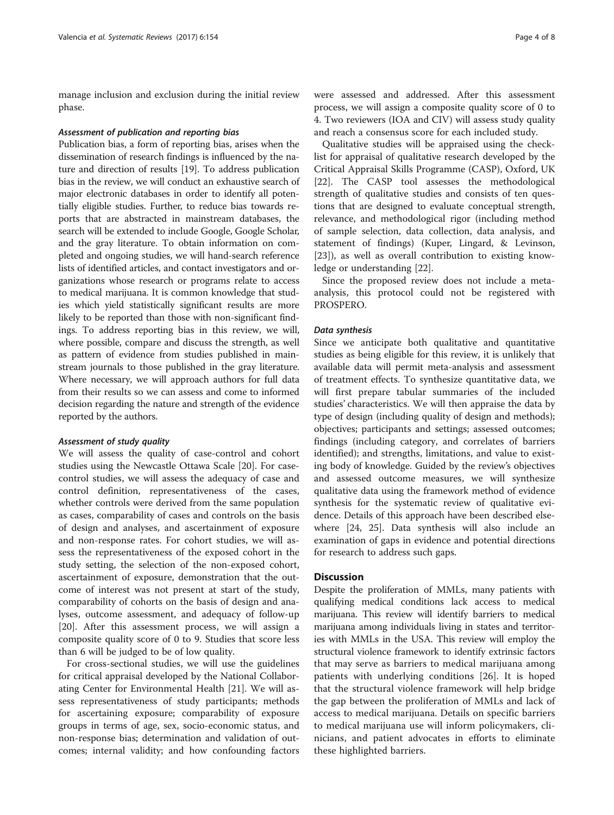manage inclusion and exclusion during the initial review phase.

#### Assessment of publication and reporting bias

Publication bias, a form of reporting bias, arises when the dissemination of research findings is influenced by the nature and direction of results [[19](#page-7-0)]. To address publication bias in the review, we will conduct an exhaustive search of major electronic databases in order to identify all potentially eligible studies. Further, to reduce bias towards reports that are abstracted in mainstream databases, the search will be extended to include Google, Google Scholar, and the gray literature. To obtain information on completed and ongoing studies, we will hand-search reference lists of identified articles, and contact investigators and organizations whose research or programs relate to access to medical marijuana. It is common knowledge that studies which yield statistically significant results are more likely to be reported than those with non-significant findings. To address reporting bias in this review, we will, where possible, compare and discuss the strength, as well as pattern of evidence from studies published in mainstream journals to those published in the gray literature. Where necessary, we will approach authors for full data from their results so we can assess and come to informed decision regarding the nature and strength of the evidence reported by the authors.

#### Assessment of study quality

We will assess the quality of case-control and cohort studies using the Newcastle Ottawa Scale [\[20](#page-7-0)]. For casecontrol studies, we will assess the adequacy of case and control definition, representativeness of the cases, whether controls were derived from the same population as cases, comparability of cases and controls on the basis of design and analyses, and ascertainment of exposure and non-response rates. For cohort studies, we will assess the representativeness of the exposed cohort in the study setting, the selection of the non-exposed cohort, ascertainment of exposure, demonstration that the outcome of interest was not present at start of the study, comparability of cohorts on the basis of design and analyses, outcome assessment, and adequacy of follow-up [[20\]](#page-7-0). After this assessment process, we will assign a composite quality score of 0 to 9. Studies that score less than 6 will be judged to be of low quality.

For cross-sectional studies, we will use the guidelines for critical appraisal developed by the National Collaborating Center for Environmental Health [\[21](#page-7-0)]. We will assess representativeness of study participants; methods for ascertaining exposure; comparability of exposure groups in terms of age, sex, socio-economic status, and non-response bias; determination and validation of outcomes; internal validity; and how confounding factors

Qualitative studies will be appraised using the checklist for appraisal of qualitative research developed by the Critical Appraisal Skills Programme (CASP), Oxford, UK [[22\]](#page-7-0). The CASP tool assesses the methodological strength of qualitative studies and consists of ten questions that are designed to evaluate conceptual strength, relevance, and methodological rigor (including method of sample selection, data collection, data analysis, and statement of findings) (Kuper, Lingard, & Levinson, [[23\]](#page-7-0)), as well as overall contribution to existing knowledge or understanding [\[22](#page-7-0)].

Since the proposed review does not include a metaanalysis, this protocol could not be registered with PROSPERO.

## Data synthesis

Since we anticipate both qualitative and quantitative studies as being eligible for this review, it is unlikely that available data will permit meta-analysis and assessment of treatment effects. To synthesize quantitative data, we will first prepare tabular summaries of the included studies' characteristics. We will then appraise the data by type of design (including quality of design and methods); objectives; participants and settings; assessed outcomes; findings (including category, and correlates of barriers identified); and strengths, limitations, and value to existing body of knowledge. Guided by the review's objectives and assessed outcome measures, we will synthesize qualitative data using the framework method of evidence synthesis for the systematic review of qualitative evidence. Details of this approach have been described elsewhere [\[24, 25\]](#page-7-0). Data synthesis will also include an examination of gaps in evidence and potential directions for research to address such gaps.

## **Discussion**

Despite the proliferation of MMLs, many patients with qualifying medical conditions lack access to medical marijuana. This review will identify barriers to medical marijuana among individuals living in states and territories with MMLs in the USA. This review will employ the structural violence framework to identify extrinsic factors that may serve as barriers to medical marijuana among patients with underlying conditions [[26](#page-7-0)]. It is hoped that the structural violence framework will help bridge the gap between the proliferation of MMLs and lack of access to medical marijuana. Details on specific barriers to medical marijuana use will inform policymakers, clinicians, and patient advocates in efforts to eliminate these highlighted barriers.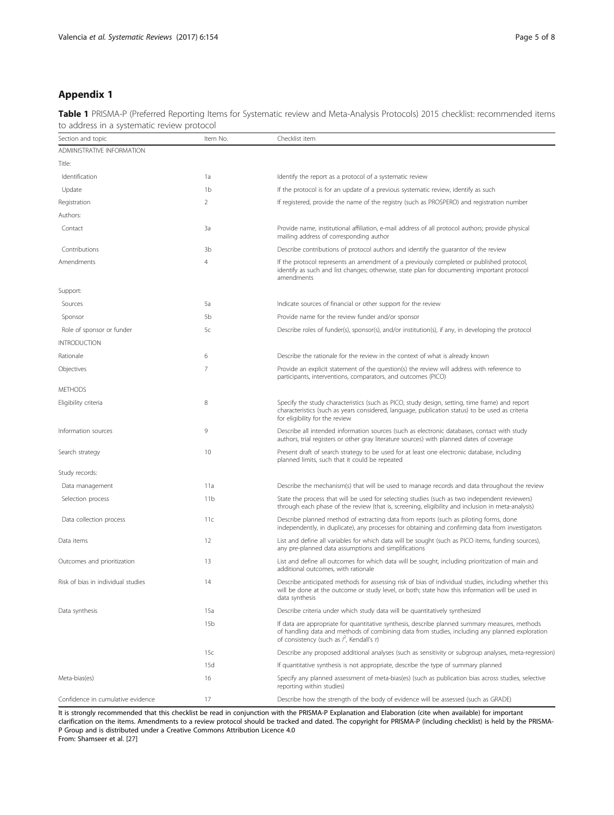## <span id="page-4-0"></span>Appendix 1

Table 1 PRISMA-P (Preferred Reporting Items for Systematic review and Meta-Analysis Protocols) 2015 checklist: recommended items to address in a systematic review protocol

| Section and topic                  | Item No.        | Checklist item                                                                                                                                                                                                                                         |  |
|------------------------------------|-----------------|--------------------------------------------------------------------------------------------------------------------------------------------------------------------------------------------------------------------------------------------------------|--|
| ADMINISTRATIVE INFORMATION         |                 |                                                                                                                                                                                                                                                        |  |
| Title:                             |                 |                                                                                                                                                                                                                                                        |  |
| Identification                     | 1a              | Identify the report as a protocol of a systematic review                                                                                                                                                                                               |  |
| Update                             | 1b              | If the protocol is for an update of a previous systematic review, identify as such                                                                                                                                                                     |  |
| Registration                       | $\overline{2}$  | If registered, provide the name of the registry (such as PROSPERO) and registration number                                                                                                                                                             |  |
| Authors:                           |                 |                                                                                                                                                                                                                                                        |  |
| Contact                            | 3a              | Provide name, institutional affiliation, e-mail address of all protocol authors; provide physical<br>mailing address of corresponding author                                                                                                           |  |
| Contributions                      | 3b              | Describe contributions of protocol authors and identify the guarantor of the review                                                                                                                                                                    |  |
| Amendments                         | 4               | If the protocol represents an amendment of a previously completed or published protocol,<br>identify as such and list changes; otherwise, state plan for documenting important protocol<br>amendments                                                  |  |
| Support:                           |                 |                                                                                                                                                                                                                                                        |  |
| Sources                            | 5a              | Indicate sources of financial or other support for the review                                                                                                                                                                                          |  |
| Sponsor                            | 5b              | Provide name for the review funder and/or sponsor                                                                                                                                                                                                      |  |
| Role of sponsor or funder          | 5c              | Describe roles of funder(s), sponsor(s), and/or institution(s), if any, in developing the protocol                                                                                                                                                     |  |
| <b>INTRODUCTION</b>                |                 |                                                                                                                                                                                                                                                        |  |
| Rationale                          | 6               | Describe the rationale for the review in the context of what is already known                                                                                                                                                                          |  |
| Objectives                         | 7               | Provide an explicit statement of the question(s) the review will address with reference to<br>participants, interventions, comparators, and outcomes (PICO)                                                                                            |  |
| <b>METHODS</b>                     |                 |                                                                                                                                                                                                                                                        |  |
| Eligibility criteria               | 8               | Specify the study characteristics (such as PICO, study design, setting, time frame) and report<br>characteristics (such as years considered, language, publication status) to be used as criteria<br>for eligibility for the review                    |  |
| Information sources                | 9               | Describe all intended information sources (such as electronic databases, contact with study<br>authors, trial registers or other gray literature sources) with planned dates of coverage                                                               |  |
| Search strategy                    | 10              | Present draft of search strategy to be used for at least one electronic database, including<br>planned limits, such that it could be repeated                                                                                                          |  |
| Study records:                     |                 |                                                                                                                                                                                                                                                        |  |
| Data management                    | 11a             | Describe the mechanism(s) that will be used to manage records and data throughout the review                                                                                                                                                           |  |
| Selection process                  | 11 <sub>b</sub> | State the process that will be used for selecting studies (such as two independent reviewers)<br>through each phase of the review (that is, screening, eligibility and inclusion in meta-analysis)                                                     |  |
| Data collection process            | 11c             | Describe planned method of extracting data from reports (such as piloting forms, done<br>independently, in duplicate), any processes for obtaining and confirming data from investigators                                                              |  |
| Data items                         | 12              | List and define all variables for which data will be sought (such as PICO items, funding sources),<br>any pre-planned data assumptions and simplifications                                                                                             |  |
| Outcomes and prioritization        | 13              | List and define all outcomes for which data will be sought, including prioritization of main and<br>additional outcomes, with rationale                                                                                                                |  |
| Risk of bias in individual studies | 14              | Describe anticipated methods for assessing risk of bias of individual studies, including whether this<br>will be done at the outcome or study level, or both; state how this information will be used in<br>data synthesis                             |  |
| Data synthesis                     | 15a             | Describe criteria under which study data will be quantitatively synthesized                                                                                                                                                                            |  |
|                                    | 15 <sub>b</sub> | If data are appropriate for quantitative synthesis, describe planned summary measures, methods<br>of handling data and methods of combining data from studies, including any planned exploration<br>of consistency (such as $I^2$ , Kendall's $\tau$ ) |  |
|                                    | 15c             | Describe any proposed additional analyses (such as sensitivity or subgroup analyses, meta-regression)                                                                                                                                                  |  |
|                                    | 15d             | If quantitative synthesis is not appropriate, describe the type of summary planned                                                                                                                                                                     |  |
| Meta-bias(es)                      | 16              | Specify any planned assessment of meta-bias(es) (such as publication bias across studies, selective<br>reporting within studies)                                                                                                                       |  |
| Confidence in cumulative evidence  | 17              | Describe how the strength of the body of evidence will be assessed (such as GRADE)                                                                                                                                                                     |  |

It is strongly recommended that this checklist be read in conjunction with the PRISMA-P Explanation and Elaboration (cite when available) for important clarification on the items. Amendments to a review protocol should be tracked and dated. The copyright for PRISMA-P (including checklist) is held by the PRISMA-P Group and is distributed under a Creative Commons Attribution Licence 4.0 From: Shamseer et al. [\[27\]](#page-7-0)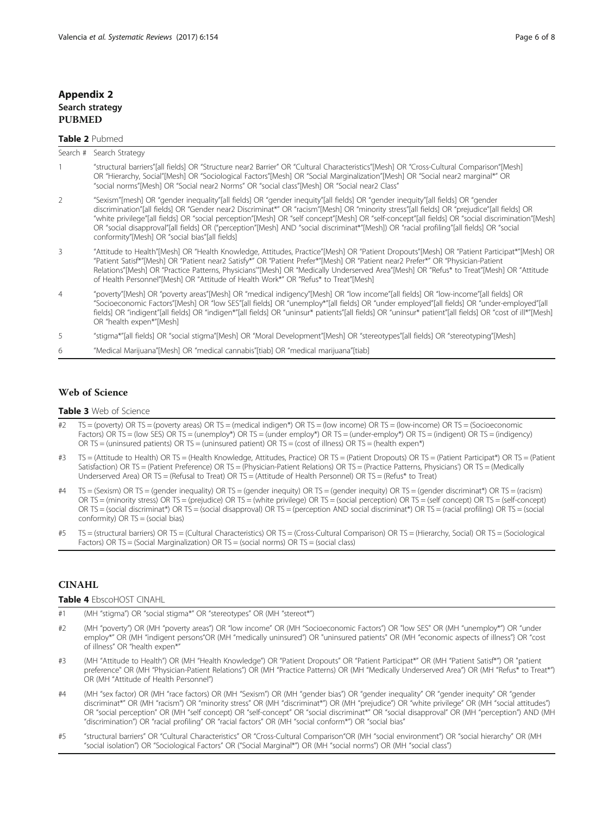## <span id="page-5-0"></span>Appendix 2 Search strategy PUBMED

Table 2 Pubmed

|                | Search # Search Strategy                                                                                                                                                                                                                                                                                                                                                                                                                                                                                                                                                                                                         |  |  |  |  |  |
|----------------|----------------------------------------------------------------------------------------------------------------------------------------------------------------------------------------------------------------------------------------------------------------------------------------------------------------------------------------------------------------------------------------------------------------------------------------------------------------------------------------------------------------------------------------------------------------------------------------------------------------------------------|--|--|--|--|--|
| $\overline{1}$ | "structural barriers"[all fields] OR "Structure near2 Barrier" OR "Cultural Characteristics"[Mesh] OR "Cross-Cultural Comparison"[Mesh]<br>OR "Hierarchy, Social"[Mesh] OR "Sociological Factors"[Mesh] OR "Social Marginalization"[Mesh] OR "Social near2 marginal*" OR<br>"social norms"[Mesh] OR "Social near2 Norms" OR "social class"[Mesh] OR "Social near2 Class"                                                                                                                                                                                                                                                         |  |  |  |  |  |
| 2              | "Sexism"[mesh] OR "gender inequality"[all fields] OR "gender inequity"[all fields] OR "gender inequity"[all fields] OR "gender<br>discrimination"[all fields] OR "Gender near2 Discriminat*" OR "racism"[Mesh] OR "minority stress"[all fields] OR "prejudice"[all fields] OR<br>"white privilege"[all fields] OR "social perception"[Mesh] OR "self concept"[Mesh] OR "self-concept"[all fields] OR "social discrimination"[Mesh]<br>OR "social disapproval"[all fields] OR ("perception"[Mesh] AND "social discriminat*"[Mesh]) OR "racial profiling"[all fields] OR "social<br>conformity"[Mesh] OR "social bias"[all fields] |  |  |  |  |  |
| 3              | "Attitude to Health"[Mesh] OR "Health Knowledge, Attitudes, Practice"[Mesh] OR "Patient Dropouts"[Mesh] OR "Patient Participat*"[Mesh] OR<br>"Patient Satisf*"[Mesh] OR "Patient near2 Satisfy*" OR "Patient Prefer*"[Mesh] OR "Patient near2 Prefer*" OR "Physician-Patient<br>Relations"[Mesh] OR "Practice Patterns, Physicians""[Mesh] OR "Medically Underserved Area"[Mesh] OR "Refus* to Treat"[Mesh] OR "Attitude<br>of Health Personnel"[Mesh] OR "Attitude of Health Work*" OR "Refus* to Treat"[Mesh]                                                                                                                  |  |  |  |  |  |
| $\overline{4}$ | "poverty"[Mesh] OR "poverty areas"[Mesh] OR "medical indigency"[Mesh] OR "low income"[all fields] OR "low-income"[all fields] OR<br>"Socioeconomic Factors"[Mesh] OR "low SES"[all fields] OR "unemploy*"[all fields] OR "under employed"[all fields] OR "under-employed"[all<br>fields] OR "indigent"[all fields] OR "indigen*"[all fields] OR "uninsur* patients"[all fields] OR "uninsur* patient"[all fields] OR "cost of ill*"[Mesh]<br>OR "health expen*"[Mesh]                                                                                                                                                            |  |  |  |  |  |
| 5              | "stigma*"[all fields] OR "social stigma"[Mesh] OR "Moral Development"[Mesh] OR "stereotypes"[all fields] OR "stereotyping"[Mesh]                                                                                                                                                                                                                                                                                                                                                                                                                                                                                                 |  |  |  |  |  |
| 6              | "Medical Marijuana"[Mesh] OR "medical cannabis"[tiab] OR "medical marijuana"[tiab]                                                                                                                                                                                                                                                                                                                                                                                                                                                                                                                                               |  |  |  |  |  |

## Web of Science

## Table 3 Web of Science

- #2 TS = (poverty) OR TS = (poverty areas) OR TS = (medical indigen\*) OR TS = (low income) OR TS = (low-income) OR TS = (Socioeconomic Factors) OR TS = (low SES) OR TS = (unemploy\*) OR TS = (under employ\*) OR TS = (under-employ\*) OR TS = (indigent) OR TS = (indigency) OR TS = (uninsured patients) OR TS = (uninsured patient) OR TS = (cost of illness) OR TS = (health expen\*)
- #3 TS = (Attitude to Health) OR TS = (Health Knowledge, Attitudes, Practice) OR TS = (Patient Dropouts) OR TS = (Patient Participat\*) OR TS = (Patient Satisfaction) OR TS = (Patient Preference) OR TS = (Physician-Patient Relations) OR TS = (Practice Patterns, Physicians') OR TS = (Medically Underserved Area) OR TS = (Refusal to Treat) OR TS = (Attitude of Health Personnel) OR TS = (Refus\* to Treat)
- #4 TS = (Sexism) OR TS = (gender inequality) OR TS = (gender inequity) OR TS = (gender inequity) OR TS = (gender discriminat\*) OR TS = (racism) OR TS = (minority stress) OR TS = (prejudice) OR TS = (white privilege) OR TS = (social perception) OR TS = (self concept) OR TS = (self-concept) OR TS = (social discriminat\*) OR TS = (social disapproval) OR TS = (perception AND social discriminat\*) OR TS = (racial profiling) OR TS = (social conformity) OR TS = (social bias)
- #5 TS = (structural barriers) OR TS = (Cultural Characteristics) OR TS = (Cross-Cultural Comparison) OR TS = (Hierarchy, Social) OR TS = (Sociological Factors) OR TS = (Social Marginalization) OR TS = (social norms) OR TS = (social class)

## CINAHL

#### Table 4 EbscoHOST CINAHL

| #1 | (MH "stigma") OR "social stigma*" OR "stereotypes" OR (MH "stereot*") |  |
|----|-----------------------------------------------------------------------|--|
|    |                                                                       |  |

- #2 (MH "poverty") OR (MH "poverty areas") OR "low income" OR (MH "Socioeconomic Factors") OR "low SES" OR (MH "unemploy\*") OR "under employ\*" OR (MH "indigent persons"OR (MH "medically uninsured") OR "uninsured patients" OR (MH "economic aspects of illness"} OR "cost of illness" OR "health expen\*
- #3 (MH "Attitude to Health") OR (MH "Health Knowledge") OR "Patient Dropouts" OR "Patient Participat\*" OR (MH "Patient Satisf\*") OR "patient preference" OR (MH "Physician-Patient Relations") OR (MH "Practice Patterns) OR (MH "Medically Underserved Area") OR (MH "Refus\* to Treat\*") OR (MH "Attitude of Health Personnel")
- #4 (MH "sex factor) OR (MH "race factors) OR (MH "Sexism") OR (MH "gender bias") OR "gender inequality" OR "gender inequity" OR "gender discriminat\*" OR (MH "racism") OR "minority stress" OR (MH "discriminat\*") OR (MH "prejudice") OR "white privilege" OR (MH "social attitudes") OR "social perception" OR (MH "self concept) OR "self-concept" OR "social discriminat\*" OR "social disapproval" OR (MH "perception") AND (MH "discrimination") OR "racial profiling" OR "racial factors" OR (MH "social conform\*") OR "social bias"
- #5 "structural barriers" OR "Cultural Characteristics" OR "Cross-Cultural Comparison"OR (MH "social environment") OR "social hierarchy" OR (MH "social isolation") OR "Sociological Factors" OR ("Social Marginal\*") OR (MH "social norms") OR (MH "social class")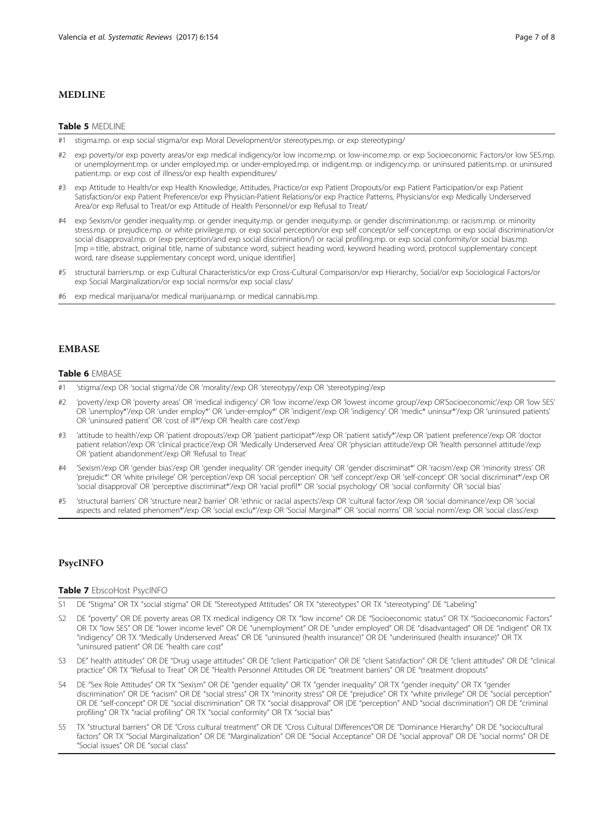## MEDLINE

#### Table 5 MEDLINE

- stigma.mp. or exp social stigma/or exp Moral Development/or stereotypes.mp. or exp stereotyping/
- #2 exp poverty/or exp poverty areas/or exp medical indigency/or low income.mp. or low-income.mp. or exp Socioeconomic Factors/or low SES.mp. or unemployment.mp. or under employed.mp. or under-employed.mp. or indigent.mp. or indigency.mp. or uninsured patients.mp. or uninsured patient.mp. or exp cost of illness/or exp health expenditures/
- #3 exp Attitude to Health/or exp Health Knowledge, Attitudes, Practice/or exp Patient Dropouts/or exp Patient Participation/or exp Patient Satisfaction/or exp Patient Preference/or exp Physician-Patient Relations/or exp Practice Patterns, Physicians/or exp Medically Underserved Area/or exp Refusal to Treat/or exp Attitude of Health Personnel/or exp Refusal to Treat/
- #4 exp Sexism/or gender inequality.mp. or gender inequity.mp. or gender inequity.mp. or gender discrimination.mp. or racism.mp. or minority stress.mp. or prejudice.mp. or white privilege.mp. or exp social perception/or exp self concept/or self-concept.mp. or exp social discrimination/or social disapproval.mp. or (exp perception/and exp social discrimination/) or racial profiling.mp. or exp social conformity/or social bias.mp. [mp = title, abstract, original title, name of substance word, subject heading word, keyword heading word, protocol supplementary concept word, rare disease supplementary concept word, unique identifier]
- #5 structural barriers.mp. or exp Cultural Characteristics/or exp Cross-Cultural Comparison/or exp Hierarchy, Social/or exp Sociological Factors/or exp Social Marginalization/or exp social norms/or exp social class/
- #6 exp medical marijuana/or medical marijuana.mp. or medical cannabis.mp.

## EMBASE

#### Table 6 FMBASE

- #1 'stigma'/exp OR 'social stigma'/de OR 'morality'/exp OR 'stereotypy'/exp OR 'stereotyping'/exp
- #2 'poverty'/exp OR 'poverty areas' OR 'medical indigency' OR 'low income'/exp OR 'lowest income group'/exp OR'Socioeconomic'/exp OR 'low SES' OR 'unemploy\*'/exp OR 'under employ\*' OR 'under-employ\*' OR 'indigent'/exp OR 'indigency' OR 'medic\* uninsur\*'/exp OR 'uninsured patients' OR 'uninsured patient' OR 'cost of ill\*'/exp OR 'health care cost'/exp
- #3 'attitude to health'/exp OR 'patient dropouts'/exp OR 'patient participat\*'/exp OR 'patient satisfy\*'/exp OR 'patient preference'/exp OR 'doctor patient relation'/exp OR 'clinical practice'/exp OR 'Medically Underserved Area' OR 'physician attitude'/exp OR 'health personnel attitude'/exp OR 'patient abandonment'/exp OR 'Refusal to Treat'
- #4 'Sexism'/exp OR 'gender bias'/exp OR 'gender inequality' OR 'gender inequity' OR 'gender discriminat\*' OR 'racism'/exp OR 'minority stress' OR 'prejudic\*' OR 'white privilege' OR 'perception'/exp OR 'social perception' OR 'self concept'/exp OR 'self-concept' OR 'social discriminat\*'/exp OR 'social disapproval' OR 'perceptive discriminat\*'/exp OR 'racial profil\*' OR 'social psychology' OR 'social conformity' OR 'social bias'
- #5 'structural barriers' OR 'structure near2 barrier' OR 'ethnic or racial aspects'/exp OR 'cultural factor'/exp OR 'social dominance'/exp OR 'social aspects and related phenomen\*'/exp OR 'social exclu\*'/exp OR 'Social Marginal\*' OR 'social norms' OR 'social norm'/exp OR 'social class'/exp

## PsycINFO

### Table 7 EbscoHost PsycINFO

- S1 DE "Stigma" OR TX "social stigma" OR DE "Stereotyped Attitudes" OR TX "stereotypes" OR TX "stereotyping" DE "Labeling"
- DE "poverty" OR DE poverty areas OR TX medical indigency OR TX "low income" OR DE "Socioeconomic status" OR TX "Socioeconomic Factors" OR TX "low SES" OR DE "lower income level" OR DE "unemployment" OR DE "under employed" OR DE "disadvantaged" OR DE "indigent" OR TX "indigency" OR TX "Medically Underserved Areas" OR DE "uninsured (health insurance)" OR DE "underinsured (health insurance)" OR TX "uninsured patient" OR DE "health care cost"
- S3 DE" health attitudes" OR DE "Drug usage attitudes" OR DE "client Participation" OR DE "client Satisfaction" OR DE "client attitudes" OR DE "clinical practice" OR TX "Refusal to Treat" OR DE "Health Personnel Attitudes OR DE "treatment barriers" OR DE "treatment dropouts"
- S4 DE "Sex Role Attitudes" OR TX "Sexism" OR DE "gender equality" OR TX "gender inequality" OR TX "gender inequity" OR TX "gender discrimination" OR DE "racism" OR DE "social stress" OR TX "minority stress" OR DE "prejudice" OR TX "white privilege" OR DE "social perception" OR DE "self-concept" OR DE "social discrimination" OR TX "social disapproval" OR (DE "perception" AND "social discrimination") OR DE "criminal profiling" OR TX "racial profiling" OR TX "social conformity" OR TX "social bias"
- S5 TX "structural barriers" OR DE "Cross cultural treatment" OR DE "Cross Cultural Differences"OR DE "Dominance Hierarchy" OR DE "sociocultural factors" OR TX "Social Marginalization" OR DE "Marginalization" OR DE "Social Acceptance" OR DE "social approval" OR DE "social norms" OR DE "Social issues" OR DE "social class"